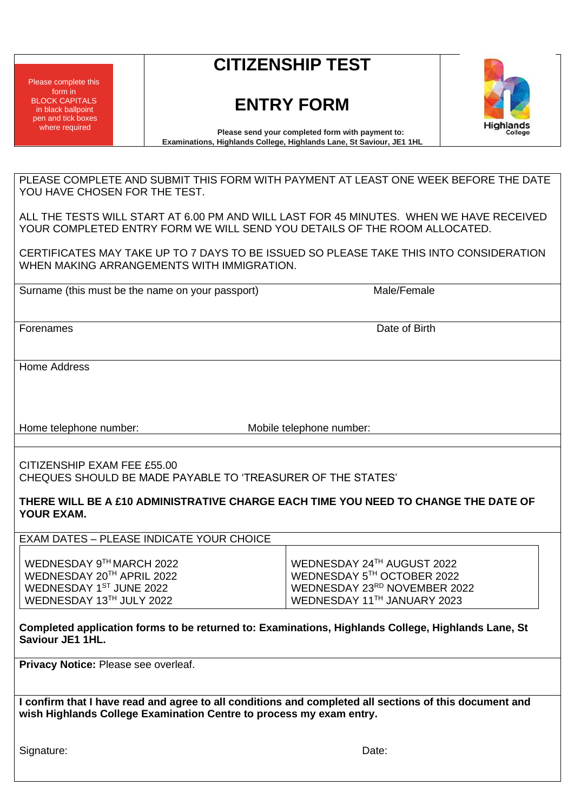Please complete this form in BLOCK CAPITALS in black ballpoint pen and tick boxes where required

# **CITIZENSHIP TEST**

# **ENTRY FORM**



**Please send your completed form with payment to: Examinations, Highlands College, Highlands Lane, St Saviour, JE1 1HL**

PLEASE COMPLETE AND SUBMIT THIS FORM WITH PAYMENT AT LEAST ONE WEEK BEFORE THE DATE YOU HAVE CHOSEN FOR THE TEST.

ALL THE TESTS WILL START AT 6.00 PM AND WILL LAST FOR 45 MINUTES. WHEN WE HAVE RECEIVED YOUR COMPLETED ENTRY FORM WE WILL SEND YOU DETAILS OF THE ROOM ALLOCATED.

CERTIFICATES MAY TAKE UP TO 7 DAYS TO BE ISSUED SO PLEASE TAKE THIS INTO CONSIDERATION WHEN MAKING ARRANGEMENTS WITH IMMIGRATION.

Surname (this must be the name on your passport) Male/Female

Forenames **Date of Birth Contract Contract Contract Contract Contract Contract Contract Contract Contract Contract Contract Contract Contract Contract Contract Contract Contract Contract Contract Contract Contract Contra** 

Home Address

Home telephone number: Mobile telephone number:

CITIZENSHIP EXAM FEE £55.00 CHEQUES SHOULD BE MADE PAYABLE TO 'TREASURER OF THE STATES'

**THERE WILL BE A £10 ADMINISTRATIVE CHARGE EACH TIME YOU NEED TO CHANGE THE DATE OF YOUR EXAM.**

EXAM DATES – PLEASE INDICATE YOUR CHOICE

| WEDNESDAY 9TH MARCH 2022  | WEDNESDAY 24TH AUGUST 2022                      |
|---------------------------|-------------------------------------------------|
| WEDNESDAY 20TH APRIL 2022 | I WEDNESDAY $5^{\text{\tiny{TH}}}$ OCTOBER 2022 |
| WEDNESDAY 1ST JUNE 2022   | WEDNESDAY 23RD NOVEMBER 2022                    |
| WEDNESDAY 13TH JULY 2022  | WEDNESDAY 11TH JANUARY 2023                     |

**Completed application forms to be returned to: Examinations, Highlands College, Highlands Lane, St Saviour JE1 1HL.**

**Privacy Notice: Please see overleaf.** 

**I confirm that I have read and agree to all conditions and completed all sections of this document and wish Highlands College Examination Centre to process my exam entry.**

Signature: Date: Date: Date: Date: Date: Date: Date: Date: Date: Date: Date: Date: Date: Date: Date: Date: Date: Date: Date: Date: Date: Date: Date: Date: Date: Date: Date: Date: Date: Date: Date: Date: Date: Date: Date: D